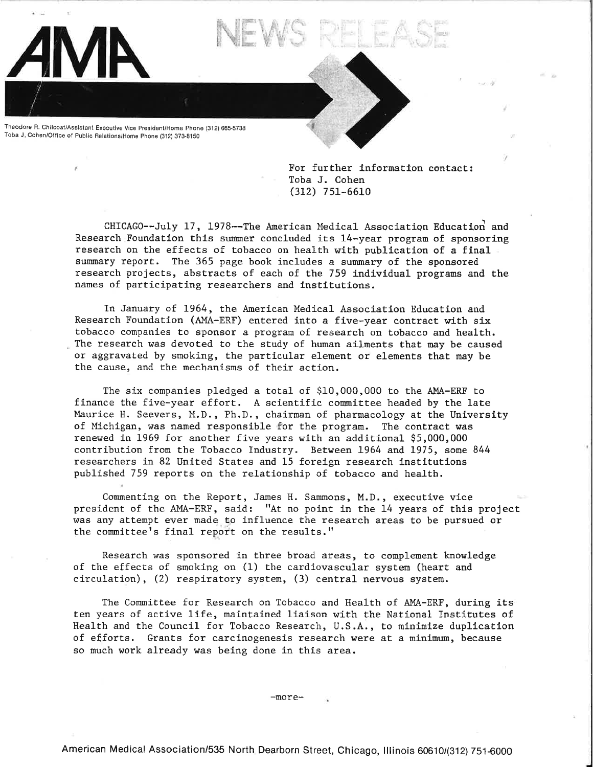Theodore R. Chilcoat/Assistant Executive Vice President/Home Phone (312) 665-5738 Toba J. Cohen/Office of Public Relations/Home Phone (312) 373-8150

> For further information contact: Toba J. Cohen (312) 7 51-6610

*I* 

CHICAGO--July 17, 1978--The American Medical Association Educatiori and Research Foundation this summer concluded its 14-year program of sponsoring research on the effects of tobacco on health with publication of a final summary report. The 365 page book includes a summary of the sponsored research projects, abstracts of each of the 759 individual programs and the names of participating researchers and institutions.

In January of 1964, the American Medical Association Education and Research Foundation (AMA-ERF) entered into a five-year contract with six tobacco companies to sponsor <sup>a</sup>program of research on tobacco and health. The research was devoted to the study of human ailments that may be caused or aggravated by smoking, the particular element or elements that may be the cause, and the mechanisms of their action.

The six companies pledged a total of \$10,000,000 to the AMA-ERF to finance the five-year effort. A scientific committee headed by the late Maurice H. Seevers, M.D., Ph.D., chairman of pharmacology at the University of Michigan, was named responsible for the program. The contract was renewed in 1969 for another five years with an additional \$5,000,000 contribution from the Tobacco Industry. Between 1964 and 1975, some 844 researchers in 82 United States and 15 foreign research institutions published 759 reports on the relationship of tobacco and health.

Commenting on the Report, James H. Sammons, M.D., executive vice president of the AMA-ERF, said: "At no point in the 14 years of this project was any attempt ever made to influence the research areas to be pursued or the committee's final report on the results."

Research was sponsored in three broad areas, to complement knowledge of the effects of smoking on (1) the cardiovascular system (heart and circulation), (2) respiratory system, (3) central nervous system.

The Committee for Research on Tobacco and Health of AMA-ERF, during its ten years of active life, maintained liaison with the National Institutes of Health and the Council for Tobacco Research, U.S.A., to minimize duplication of efforts. Grants for carcinogenesis research were at a minimum, because so much work already was being done in this area.